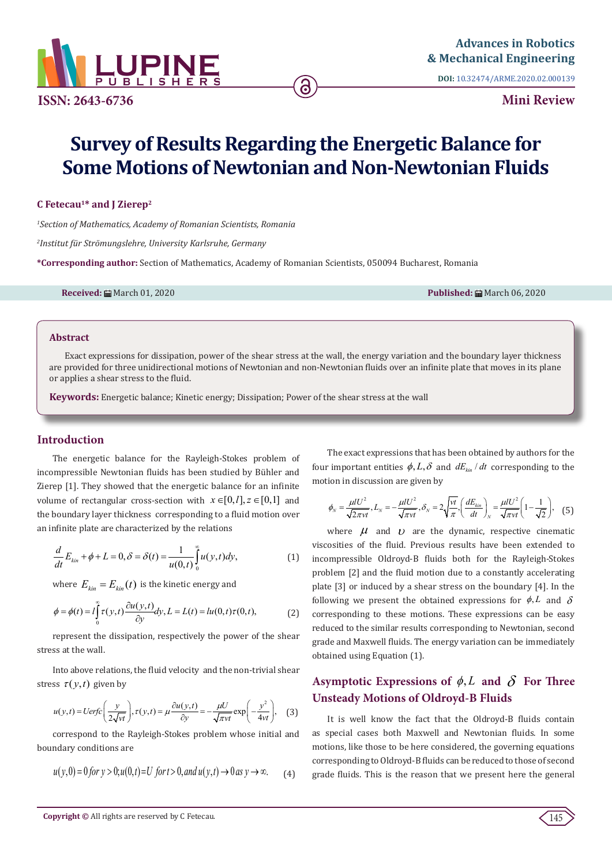

**ISSN: 2643-6736**

**DOI:** [10.32474/ARME.2020.02.000139](http://dx.doi.org/10.32474/ARME.2020.02.000139)

**Mini Review** 

# **Survey of Results Regarding the Energetic Balance for Some Motions of Newtonian and Non-Newtonian Fluids**

# **C Fetecau1\* and J Zierep2**

*1 Section of Mathematics, Academy of Romanian Scientists, Romania*

*2 Institut für Strömungslehre, University Karlsruhe, Germany*

**\*Corresponding author:** Section of Mathematics, Academy of Romanian Scientists, 050094 Bucharest, Romania

**Received:** March 01, 2020 **Published:** March 06, 2020

#### **Abstract**

Exact expressions for dissipation, power of the shear stress at the wall, the energy variation and the boundary layer thickness are provided for three unidirectional motions of Newtonian and non-Newtonian fluids over an infinite plate that moves in its plane or applies a shear stress to the fluid.

**Keywords:** Energetic balance; Kinetic energy; Dissipation; Power of the shear stress at the wall

## **Introduction**

The energetic balance for the Rayleigh-Stokes problem of incompressible Newtonian fluids has been studied by Bühler and Zierep [1]. They showed that the energetic balance for an infinite volume of rectangular cross-section with  $x \in [0, l], z \in [0,1]$  and the boundary layer thickness corresponding to a fluid motion over an infinite plate are characterized by the relations

$$
\frac{d}{dt}E_{kin} + \phi + L = 0, \delta = \delta(t) = \frac{1}{u(0,t)} \int_{0}^{\infty} u(y,t) dy,
$$
\n(1)

where  $E_{kin} = E_{kin}(t)$  is the kinetic energy and

$$
\phi = \phi(t) = l \int_{0}^{\infty} \tau(y, t) \frac{\partial u(y, t)}{\partial y} dy, L = L(t) = lu(0, t)\tau(0, t),
$$
 (2)

represent the dissipation, respectively the power of the shear stress at the wall.

Into above relations, the fluid velocity and the non-trivial shear stress  $\tau(y,t)$  given by

$$
u(y,t) = Uerfc\left(\frac{y}{2\sqrt{vt}}\right), \tau(y,t) = \mu \frac{\partial u(y,t)}{\partial y} = -\frac{\mu U}{\sqrt{\pi vt}} \exp\left(-\frac{y^2}{4vt}\right), \quad (3)
$$

correspond to the Rayleigh-Stokes problem whose initial and boundary conditions are

$$
u(y,0) = 0 \text{ for } y > 0; u(0,t) = U \text{ for } t > 0, \text{ and } u(y,t) \to 0 \text{ as } y \to \infty.
$$
 (4)

The exact expressions that has been obtained by authors for the four important entities  $\phi$ ,  $L$ ,  $\delta$  and  $dE$ <sub>*kin</sub> dt* corresponding to the</sub> motion in discussion are given by

$$
\phi_N = \frac{\mu I U^2}{\sqrt{2\pi vt}}, L_N = -\frac{\mu I U^2}{\sqrt{\pi vt}}, \delta_N = 2\sqrt{\frac{vt}{\pi}}, \left(\frac{dE_{kin}}{dt}\right)_N = \frac{\mu I U^2}{\sqrt{\pi vt}} \left(1 - \frac{1}{\sqrt{2}}\right), \quad (5)
$$

where  $\mu$  and  $\nu$  are the dynamic, respective cinematic viscosities of the fluid. Previous results have been extended to incompressible Oldroyd-B fluids both for the Rayleigh-Stokes problem [2] and the fluid motion due to a constantly accelerating plate [3] or induced by a shear stress on the boundary [4]. In the following we present the obtained expressions for  $\phi$ , *L* and  $\delta$ corresponding to these motions. These expressions can be easy reduced to the similar results corresponding to Newtonian, second grade and Maxwell fluids. The energy variation can be immediately obtained using Equation (1).

# **Asymptotic Expressions of**  $\phi$ **,** *L* **and**  $\delta$  **For Three Unsteady Motions of Oldroyd-B Fluids**

It is well know the fact that the Oldroyd-B fluids contain as special cases both Maxwell and Newtonian fluids. In some motions, like those to be here considered, the governing equations corresponding to Oldroyd-B fluids can be reduced to those of second grade fluids. This is the reason that we present here the general

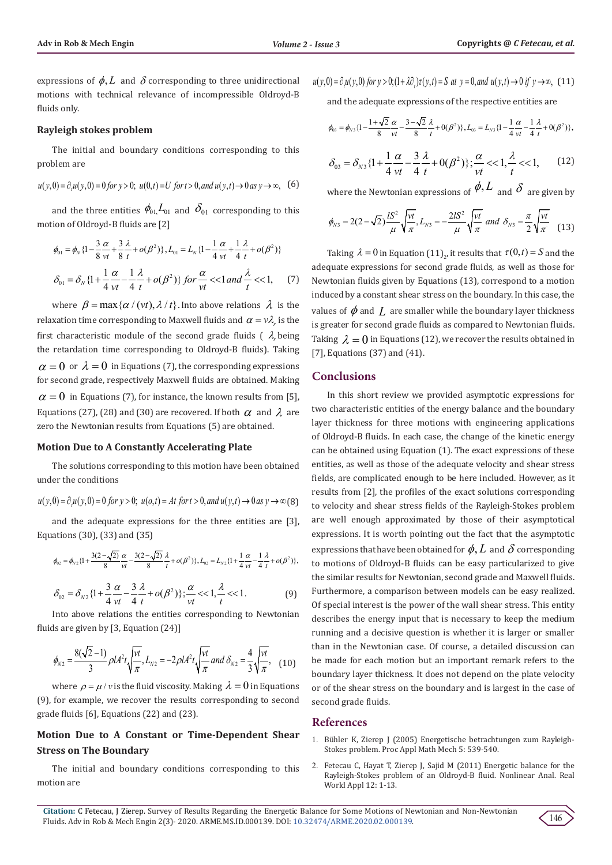expressions of  $\phi$ , *L* and  $\delta$  corresponding to three unidirectional motions with technical relevance of incompressible Oldroyd-B fluids only.

#### **Rayleigh stokes problem**

The initial and boundary conditions corresponding to this problem are

$$
u(y,0) = \partial_t u(y,0) = 0 \text{ for } y > 0; \ u(0,t) = U \text{ for } t > 0, \text{ and } u(y,t) \to 0 \text{ as } y \to \infty,
$$
 (6)

and the three entities  $\phi_{01} L_{01}$  and  $\delta_{01}$  corresponding to this motion of Oldroyd-B fluids are [2]

$$
\phi_{01} = \phi_N \{1 - \frac{3 \alpha}{8 \nu t} + \frac{3 \lambda}{8 t} + o(\beta^2) \}, L_{01} = L_N \{1 - \frac{1 \alpha}{4 \nu t} + \frac{1 \lambda}{4 t} + o(\beta^2) \}
$$
\n
$$
\delta_{01} = \delta_N \{1 + \frac{1 \alpha}{4 \nu t} - \frac{1 \lambda}{4 t} + o(\beta^2) \} \text{ for } \frac{\alpha}{\nu t} < 1 \text{ and } \frac{\lambda}{t} < 1,\qquad(7)
$$

where  $\beta = \max{\{\alpha / (vt), \lambda / t\}}$ . Into above relations  $\lambda$  is the relaxation time corresponding to Maxwell fluids and  $\alpha = v \lambda$  is the first characteristic module of the second grade fluids  $( \lambda_r)$  being the retardation time corresponding to Oldroyd-B fluids). Taking  $\alpha = 0$  or  $\lambda = 0$  in Equations (7), the corresponding expressions for second grade, respectively Maxwell fluids are obtained. Making  $\alpha = 0$  in Equations (7), for instance, the known results from [5], Equations (27), (28) and (30) are recovered. If both  $\alpha$  and  $\lambda$  are zero the Newtonian results from Equations (5) are obtained.

#### **Motion Due to A Constantly Accelerating Plate**

The solutions corresponding to this motion have been obtained under the conditions

$$
u(y,0) = \partial_t u(y,0) = 0 \text{ for } y > 0; \ u(o,t) = At \text{ for } t > 0, \text{ and } u(y,t) \to 0 \text{ as } y \to \infty \text{ (8)}
$$

and the adequate expressions for the three entities are [3], Equations (30), (33) and (35)

$$
\phi_{02} = \phi_{N2} \{1 + \frac{3(2-\sqrt{2})}{8} \frac{\alpha}{\nu t} - \frac{3(2-\sqrt{2})}{8} \frac{\lambda}{t} + o(\beta^2) \}, L_{02} = L_{N2} \{1 + \frac{1}{4} \frac{\alpha}{\nu t} - \frac{1}{4} \frac{\lambda}{t} + o(\beta^2) \},\
$$

$$
\delta_{02} = \delta_{N2} \{1 + \frac{3 \alpha}{4 \nu t} - \frac{3 \lambda}{4 t} + o(\beta^2)\}; \frac{\alpha}{\nu t} < 1, \frac{\lambda}{t} < 1. \tag{9}
$$

Into above relations the entities corresponding to Newtonian fluids are given by [3, Equation (24)]

$$
\phi_{N2} = \frac{8(\sqrt{2}-1)}{3} \rho I A^2 t \sqrt{\frac{vt}{\pi}}, L_{N2} = -2 \rho I A^2 t \sqrt{\frac{vt}{\pi}} \text{ and } \delta_{N2} = \frac{4}{3} \sqrt{\frac{vt}{\pi}}, \quad (10)
$$

where  $\rho = \mu / v$  is the fluid viscosity. Making  $\lambda = 0$  in Equations (9), for example, we recover the results corresponding to second grade fluids [6], Equations (22) and (23).

# **Motion Due to A Constant or Time-Dependent Shear Stress on The Boundary**

The initial and boundary conditions corresponding to this motion are

 $u(y, 0) = \partial_x u(y, 0)$  for  $y > 0$ ;  $(1 + \lambda \partial_x) \tau(y, t) = S$  at  $y = 0$ , and  $u(y, t) \to 0$  if  $y \to \infty$ , (11)

and the adequate expressions of the respective entities are

$$
\phi_{03} = \phi_{N3} \{1 - \frac{1 + \sqrt{2}}{8} \frac{\alpha}{\nu t} - \frac{3 - \sqrt{2}}{8} \frac{\lambda}{t} + 0(\beta^2) \}, L_{03} = L_{N3} \{1 - \frac{1}{4} \frac{\alpha}{\nu t} - \frac{1}{4} \frac{\lambda}{t} + 0(\beta^2) \},
$$

$$
\delta_{03} = \delta_{N3} \{ 1 + \frac{1}{4} \frac{\alpha}{\nu t} - \frac{3}{4} \frac{\lambda}{t} + 0(\beta^2) \}; \frac{\alpha}{\nu t} < 1, \frac{\lambda}{t} < 1,\tag{12}
$$

where the Newtonian expressions of  $\phi$ , *L* and  $\delta$  are given by

$$
\phi_{N3} = 2(2-\sqrt{2})\frac{IS^2}{\mu}\sqrt{\frac{vt}{\pi}}, L_{N3} = -\frac{2IS^2}{\mu}\sqrt{\frac{vt}{\pi}} \text{ and } \delta_{N3} = \frac{\pi}{2}\sqrt{\frac{vt}{\pi}} \tag{13}
$$

Taking  $\lambda = 0$  in Equation (11)<sub>2</sub>, it results that  $\tau(0,t) = S$  and the adequate expressions for second grade fluids, as well as those for Newtonian fluids given by Equations (13), correspond to a motion induced by a constant shear stress on the boundary. In this case, the values of  $\phi$  and  $I$ , are smaller while the boundary layer thickness is greater for second grade fluids as compared to Newtonian fluids. Taking  $\lambda = 0$  in Equations (12), we recover the results obtained in [7], Equations (37) and (41).

#### **Conclusions**

In this short review we provided asymptotic expressions for two characteristic entities of the energy balance and the boundary layer thickness for three motions with engineering applications of Oldroyd-B fluids. In each case, the change of the kinetic energy can be obtained using Equation (1). The exact expressions of these entities, as well as those of the adequate velocity and shear stress fields, are complicated enough to be here included. However, as it results from [2], the profiles of the exact solutions corresponding to velocity and shear stress fields of the Rayleigh-Stokes problem are well enough approximated by those of their asymptotical expressions. It is worth pointing out the fact that the asymptotic expressions that have been obtained for  $\phi$ , L and  $\delta$  corresponding to motions of Oldroyd-B fluids can be easy particularized to give the similar results for Newtonian, second grade and Maxwell fluids. Furthermore, a comparison between models can be easy realized. Of special interest is the power of the wall shear stress. This entity describes the energy input that is necessary to keep the medium running and a decisive question is whether it is larger or smaller than in the Newtonian case. Of course, a detailed discussion can be made for each motion but an important remark refers to the boundary layer thickness. It does not depend on the plate velocity or of the shear stress on the boundary and is largest in the case of second grade fluids.

#### **References**

- 1. [Bühler K, Zierep J \(2005\) Energetische betrachtungen zum Rayleigh-](https://onlinelibrary.wiley.com/doi/pdf/10.1002/pamm.200510246)[Stokes problem. Proc Appl Math Mech 5: 539-540](https://onlinelibrary.wiley.com/doi/pdf/10.1002/pamm.200510246).
- 2. Fetecau C, Hayat T, Zierep J, Sajid M (2011) Energetic balance for the Rayleigh-Stokes problem of an Oldroyd-B fluid. Nonlinear Anal. Real World Appl 12: 1-13.